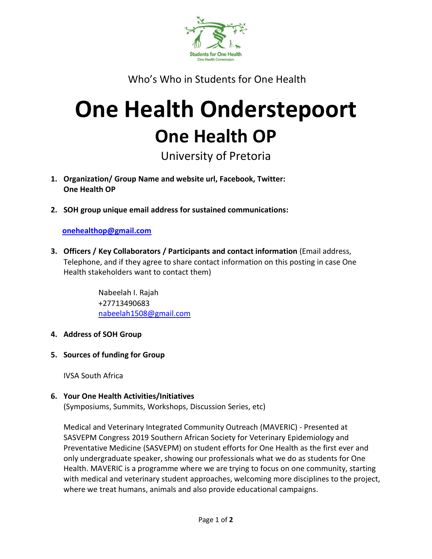

Who's Who in Students for One Health

# **One Health Onderstepoort One Health OP**

University of Pretoria

- **1. Organization/ Group Name and website url, Facebook, Twitter: One Health OP**
- **2. SOH group unique email address for sustained communications:**

## **[onehealthop@gmail.com](mailto:onehealthop@gmail.com)**

**3. Officers / Key Collaborators / Participants and contact information** (Email address, Telephone, and if they agree to share contact information on this posting in case One Health stakeholders want to contact them)

> Nabeelah I. Rajah +27713490683 [nabeelah1508@gmail.com](mailto:nabeelah1508@gmail.com)

- **4. Address of SOH Group**
- **5. Sources of funding for Group**

IVSA South Africa

### **6. Your One Health Activities/Initiatives**

(Symposiums, Summits, Workshops, Discussion Series, etc)

Medical and Veterinary Integrated Community Outreach (MAVERIC) - Presented at SASVEPM Congress 2019 Southern African Society for Veterinary Epidemiology and Preventative Medicine (SASVEPM) on student efforts for One Health as the first ever and only undergraduate speaker, showing our professionals what we do as students for One Health. MAVERIC is a programme where we are trying to focus on one community, starting with medical and veterinary student approaches, welcoming more disciplines to the project, where we treat humans, animals and also provide educational campaigns.